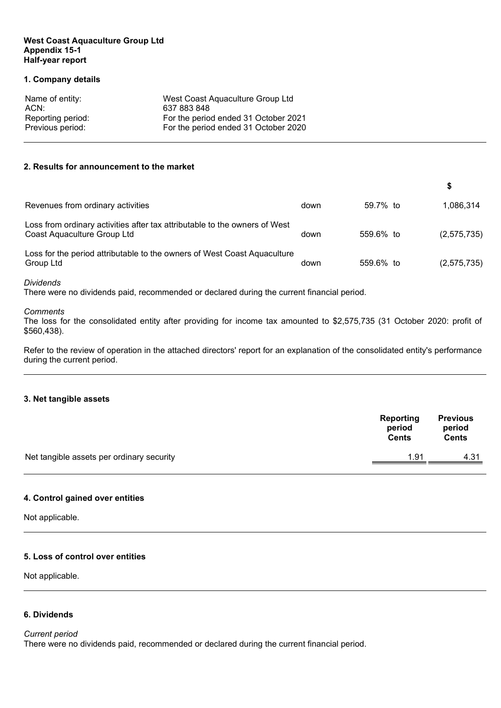#### **West Coast Aquaculture Group Ltd Appendix 15-1 Half-year report**

#### **1. Company details**

| Name of entity:   | West Coast Aquaculture Group Ltd     |
|-------------------|--------------------------------------|
| ACN:              | 637 883 848                          |
| Reporting period: | For the period ended 31 October 2021 |
| Previous period:  | For the period ended 31 October 2020 |

## **2. Results for announcement to the market**

| Revenues from ordinary activities                                                                         | down | 59.7% to  | 1.086.314   |
|-----------------------------------------------------------------------------------------------------------|------|-----------|-------------|
| Loss from ordinary activities after tax attributable to the owners of West<br>Coast Aquaculture Group Ltd | down | 559.6% to | (2,575,735) |
| Loss for the period attributable to the owners of West Coast Aquaculture<br>Group Ltd                     | down | 559.6% to | (2,575,735) |

#### *Dividends*

There were no dividends paid, recommended or declared during the current financial period.

#### *Comments*

The loss for the consolidated entity after providing for income tax amounted to \$2,575,735 (31 October 2020: profit of \$560,438).

Refer to the review of operation in the attached directors' report for an explanation of the consolidated entity's performance during the current period.

#### **3. Net tangible assets**

|                                           | Reporting<br>period<br><b>Cents</b> | <b>Previous</b><br>period<br><b>Cents</b> |
|-------------------------------------------|-------------------------------------|-------------------------------------------|
| Net tangible assets per ordinary security | 1.91                                | 4.31                                      |
|                                           |                                     |                                           |

## **4. Control gained over entities**

Not applicable.

# **5. Loss of control over entities**

Not applicable.

# **6. Dividends**

*Current period*

There were no dividends paid, recommended or declared during the current financial period.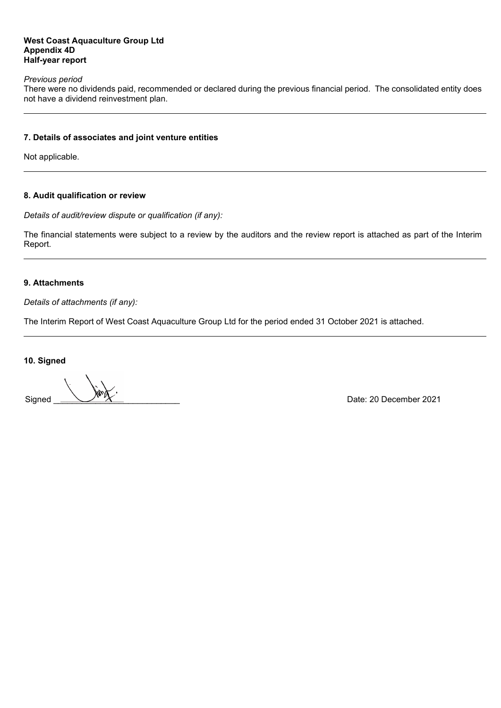## **West Coast Aquaculture Group Ltd Appendix 4D Half-year report**

#### *Previous period*

There were no dividends paid, recommended or declared during the previous financial period. The consolidated entity does not have a dividend reinvestment plan.

## **7. Details of associates and joint venture entities**

Not applicable.

#### **8. Audit qualification or review**

*Details of audit/review dispute or qualification (if any):*

The financial statements were subject to a review by the auditors and the review report is attached as part of the Interim Report.

## **9. Attachments**

*Details of attachments (if any):*

The Interim Report of West Coast Aquaculture Group Ltd for the period ended 31 October 2021 is attached.

**10. Signed**

Signed \_\_\_\_\_\_\_\_\_\_\_\_\_\_\_\_\_\_\_\_\_\_\_\_\_\_\_ Date: 20 December 2021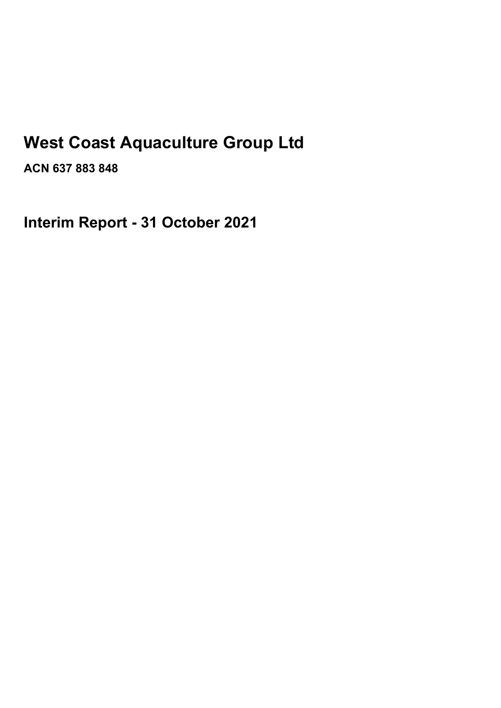# **West Coast Aquaculture Group Ltd**

**ACN 637 883 848** 

**Interim Report - 31 October 2021**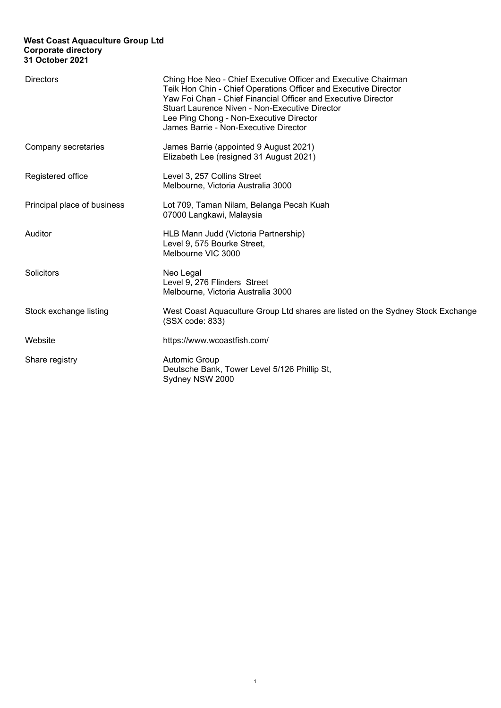## **West Coast Aquaculture Group Ltd Corporate directory 31 October 2021**

| <b>Directors</b>            | Ching Hoe Neo - Chief Executive Officer and Executive Chairman<br>Teik Hon Chin - Chief Operations Officer and Executive Director<br>Yaw Foi Chan - Chief Financial Officer and Executive Director<br><b>Stuart Laurence Niven - Non-Executive Director</b><br>Lee Ping Chong - Non-Executive Director<br>James Barrie - Non-Executive Director |
|-----------------------------|-------------------------------------------------------------------------------------------------------------------------------------------------------------------------------------------------------------------------------------------------------------------------------------------------------------------------------------------------|
| Company secretaries         | James Barrie (appointed 9 August 2021)<br>Elizabeth Lee (resigned 31 August 2021)                                                                                                                                                                                                                                                               |
| Registered office           | Level 3, 257 Collins Street<br>Melbourne, Victoria Australia 3000                                                                                                                                                                                                                                                                               |
| Principal place of business | Lot 709, Taman Nilam, Belanga Pecah Kuah<br>07000 Langkawi, Malaysia                                                                                                                                                                                                                                                                            |
| Auditor                     | HLB Mann Judd (Victoria Partnership)<br>Level 9, 575 Bourke Street,<br>Melbourne VIC 3000                                                                                                                                                                                                                                                       |
| Solicitors                  | Neo Legal<br>Level 9, 276 Flinders Street<br>Melbourne, Victoria Australia 3000                                                                                                                                                                                                                                                                 |
| Stock exchange listing      | West Coast Aquaculture Group Ltd shares are listed on the Sydney Stock Exchange<br>(SSX code: 833)                                                                                                                                                                                                                                              |
| Website                     | https://www.wcoastfish.com/                                                                                                                                                                                                                                                                                                                     |
| Share registry              | <b>Automic Group</b><br>Deutsche Bank, Tower Level 5/126 Phillip St,<br>Sydney NSW 2000                                                                                                                                                                                                                                                         |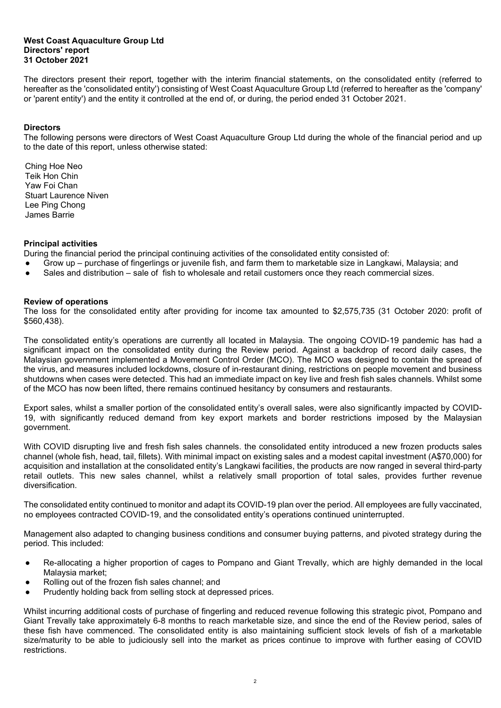#### **West Coast Aquaculture Group Ltd Directors' report 31 October 2021**

The directors present their report, together with the interim financial statements, on the consolidated entity (referred to hereafter as the 'consolidated entity') consisting of West Coast Aquaculture Group Ltd (referred to hereafter as the 'company' or 'parent entity') and the entity it controlled at the end of, or during, the period ended 31 October 2021.

## **Directors**

The following persons were directors of West Coast Aquaculture Group Ltd during the whole of the financial period and up to the date of this report, unless otherwise stated:

Ching Hoe Neo Teik Hon Chin Yaw Foi Chan Stuart Laurence Niven Lee Ping Chong James Barrie

## **Principal activities**

During the financial period the principal continuing activities of the consolidated entity consisted of:

- Grow up purchase of fingerlings or juvenile fish, and farm them to marketable size in Langkawi, Malaysia; and
- Sales and distribution sale of fish to wholesale and retail customers once they reach commercial sizes.

## **Review of operations**

The loss for the consolidated entity after providing for income tax amounted to \$2,575,735 (31 October 2020: profit of \$560,438).

The consolidated entity's operations are currently all located in Malaysia. The ongoing COVID-19 pandemic has had a significant impact on the consolidated entity during the Review period. Against a backdrop of record daily cases, the Malaysian government implemented a Movement Control Order (MCO). The MCO was designed to contain the spread of the virus, and measures included lockdowns, closure of in-restaurant dining, restrictions on people movement and business shutdowns when cases were detected. This had an immediate impact on key live and fresh fish sales channels. Whilst some of the MCO has now been lifted, there remains continued hesitancy by consumers and restaurants.

Export sales, whilst a smaller portion of the consolidated entity's overall sales, were also significantly impacted by COVID-19, with significantly reduced demand from key export markets and border restrictions imposed by the Malaysian government.

With COVID disrupting live and fresh fish sales channels. the consolidated entity introduced a new frozen products sales channel (whole fish, head, tail, fillets). With minimal impact on existing sales and a modest capital investment (A\$70,000) for acquisition and installation at the consolidated entity's Langkawi facilities, the products are now ranged in several third-party retail outlets. This new sales channel, whilst a relatively small proportion of total sales, provides further revenue diversification.

The consolidated entity continued to monitor and adapt its COVID-19 plan over the period. All employees are fully vaccinated, no employees contracted COVID-19, and the consolidated entity's operations continued uninterrupted.

Management also adapted to changing business conditions and consumer buying patterns, and pivoted strategy during the period. This included:

- Re-allocating a higher proportion of cages to Pompano and Giant Trevally, which are highly demanded in the local Malaysia market;
- Rolling out of the frozen fish sales channel; and
- Prudently holding back from selling stock at depressed prices.

Whilst incurring additional costs of purchase of fingerling and reduced revenue following this strategic pivot, Pompano and Giant Trevally take approximately 6-8 months to reach marketable size, and since the end of the Review period, sales of these fish have commenced. The consolidated entity is also maintaining sufficient stock levels of fish of a marketable size/maturity to be able to judiciously sell into the market as prices continue to improve with further easing of COVID restrictions.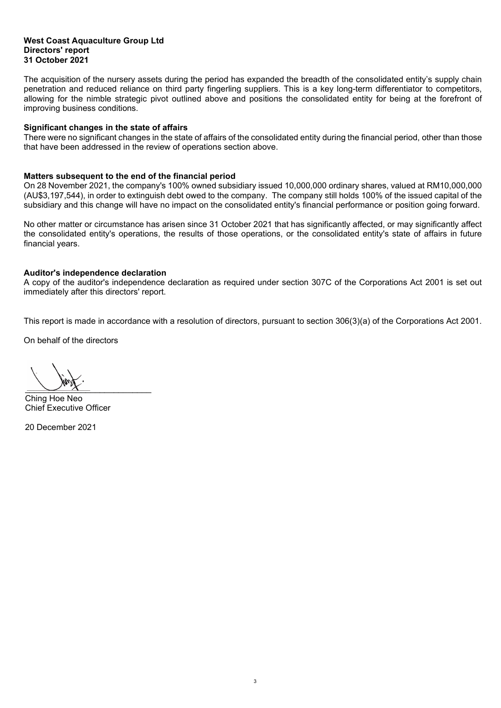#### **West Coast Aquaculture Group Ltd Directors' report 31 October 2021**

The acquisition of the nursery assets during the period has expanded the breadth of the consolidated entity's supply chain penetration and reduced reliance on third party fingerling suppliers. This is a key long-term differentiator to competitors, allowing for the nimble strategic pivot outlined above and positions the consolidated entity for being at the forefront of improving business conditions.

#### **Significant changes in the state of affairs**

There were no significant changes in the state of affairs of the consolidated entity during the financial period, other than those that have been addressed in the review of operations section above.

## **Matters subsequent to the end of the financial period**

On 28 November 2021, the company's 100% owned subsidiary issued 10,000,000 ordinary shares, valued at RM10,000,000 (AU\$3,197,544), in order to extinguish debt owed to the company. The company still holds 100% of the issued capital of the subsidiary and this change will have no impact on the consolidated entity's financial performance or position going forward.

No other matter or circumstance has arisen since 31 October 2021 that has significantly affected, or may significantly affect the consolidated entity's operations, the results of those operations, or the consolidated entity's state of affairs in future financial years.

## **Auditor's independence declaration**

A copy of the auditor's independence declaration as required under section 307C of the Corporations Act 2001 is set out immediately after this directors' report.

This report is made in accordance with a resolution of directors, pursuant to section 306(3)(a) of the Corporations Act 2001.

On behalf of the directors

 $\frac{1}{\sqrt{2\pi}}$ 

Ching Hoe Neo Chief Executive Officer

20 December 2021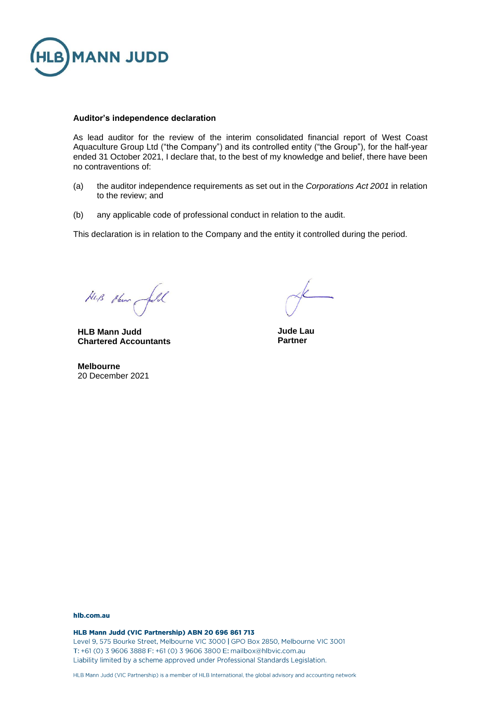

#### **Auditor's independence declaration**

As lead auditor for the review of the interim consolidated financial report of West Coast Aquaculture Group Ltd ("the Company") and its controlled entity ("the Group"), for the half-year ended 31 October 2021, I declare that, to the best of my knowledge and belief, there have been no contraventions of:

- (a) the auditor independence requirements as set out in the *Corporations Act 2001* in relation to the review; and
- (b) any applicable code of professional conduct in relation to the audit.

This declaration is in relation to the Company and the entity it controlled during the period.

HUB Her fold

**HLB Mann Judd Chartered Accountants** 

**Melbourne** 20 December 2021

**Jude Lau Partner** 

#### hlb.com.au

HLB Mann Judd (VIC Partnership) ABN 20 696 861 713 Level 9, 575 Bourke Street, Melbourne VIC 3000 | GPO Box 2850, Melbourne VIC 3001 T: +61 (0) 3 9606 3888 F: +61 (0) 3 9606 3800 E: mailbox@hlbvic.com.au Liability limited by a scheme approved under Professional Standards Legislation.

HLB Mann Judd (VIC Partnership) is a member of HLB International, the global advisory and accounting network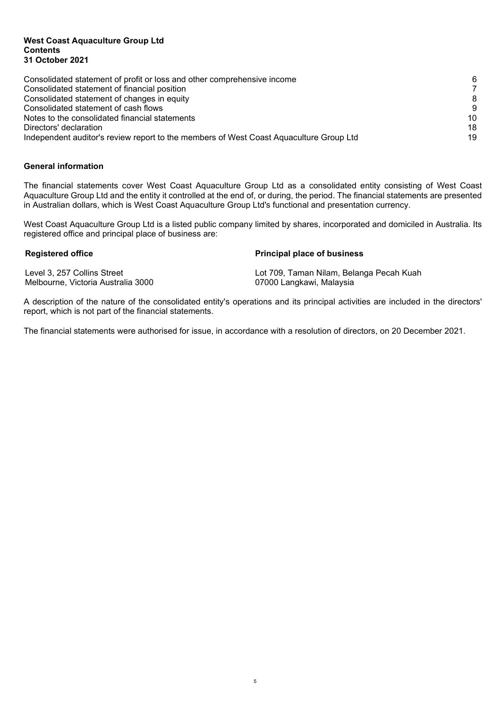#### **West Coast Aquaculture Group Ltd Contents 31 October 2021**

| Consolidated statement of profit or loss and other comprehensive income                | 6               |
|----------------------------------------------------------------------------------------|-----------------|
| Consolidated statement of financial position                                           | $\overline{7}$  |
| Consolidated statement of changes in equity                                            | 8               |
| Consolidated statement of cash flows                                                   | -9              |
| Notes to the consolidated financial statements                                         | 10 <sup>1</sup> |
| Directors' declaration                                                                 | 18              |
| Independent auditor's review report to the members of West Coast Aquaculture Group Ltd | 19              |

## **General information**

The financial statements cover West Coast Aquaculture Group Ltd as a consolidated entity consisting of West Coast Aquaculture Group Ltd and the entity it controlled at the end of, or during, the period. The financial statements are presented in Australian dollars, which is West Coast Aquaculture Group Ltd's functional and presentation currency.

West Coast Aquaculture Group Ltd is a listed public company limited by shares, incorporated and domiciled in Australia. Its registered office and principal place of business are:

| <b>Registered office</b>           | <b>Principal place of business</b>       |
|------------------------------------|------------------------------------------|
| Level 3, 257 Collins Street        | Lot 709, Taman Nilam, Belanga Pecah Kuah |
| Melbourne. Victoria Australia 3000 | 07000 Langkawi, Malaysia                 |

A description of the nature of the consolidated entity's operations and its principal activities are included in the directors' report, which is not part of the financial statements.

The financial statements were authorised for issue, in accordance with a resolution of directors, on 20 December 2021.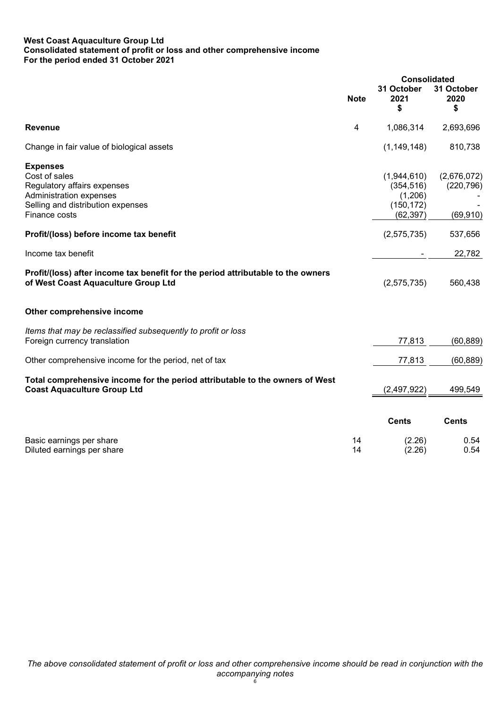#### **West Coast Aquaculture Group Ltd Consolidated statement of profit or loss and other comprehensive income For the period ended 31 October 2021**

|                                                                                                                         |             | <b>Consolidated</b>      |                          |  |
|-------------------------------------------------------------------------------------------------------------------------|-------------|--------------------------|--------------------------|--|
|                                                                                                                         | <b>Note</b> | 31 October<br>2021<br>\$ | 31 October<br>2020<br>\$ |  |
| <b>Revenue</b>                                                                                                          | 4           | 1,086,314                | 2,693,696                |  |
| Change in fair value of biological assets                                                                               |             | (1, 149, 148)            | 810,738                  |  |
| <b>Expenses</b>                                                                                                         |             |                          |                          |  |
| Cost of sales                                                                                                           |             | (1,944,610)              | (2,676,072)              |  |
| Regulatory affairs expenses                                                                                             |             | (354, 516)               | (220, 796)               |  |
| Administration expenses                                                                                                 |             | (1,206)                  |                          |  |
| Selling and distribution expenses                                                                                       |             | (150, 172)               |                          |  |
| Finance costs                                                                                                           |             | (62, 397)                | (69, 910)                |  |
|                                                                                                                         |             |                          |                          |  |
| Profit/(loss) before income tax benefit                                                                                 |             | (2, 575, 735)            | 537,656                  |  |
| Income tax benefit                                                                                                      |             |                          | 22,782                   |  |
| Profit/(loss) after income tax benefit for the period attributable to the owners<br>of West Coast Aquaculture Group Ltd |             | (2,575,735)              | 560,438                  |  |
| Other comprehensive income                                                                                              |             |                          |                          |  |
| Items that may be reclassified subsequently to profit or loss                                                           |             |                          |                          |  |
| Foreign currency translation                                                                                            |             | 77,813                   | (60, 889)                |  |
| Other comprehensive income for the period, net of tax                                                                   |             | 77,813                   | (60, 889)                |  |
| Total comprehensive income for the period attributable to the owners of West<br><b>Coast Aquaculture Group Ltd</b>      |             | (2, 497, 922)            | 499,549                  |  |
|                                                                                                                         |             |                          |                          |  |
|                                                                                                                         |             | <b>Cents</b>             | <b>Cents</b>             |  |
| Basic earnings per share                                                                                                | 14          | (2.26)                   | 0.54                     |  |
| Diluted earnings per share                                                                                              | 14          | (2.26)                   | 0.54                     |  |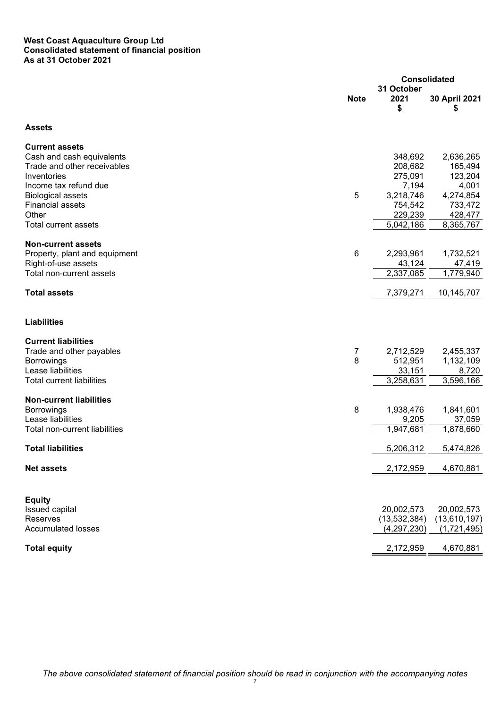#### **West Coast Aquaculture Group Ltd Consolidated statement of financial position As at 31 October 2021**

|                                  |             | <b>Consolidated</b> |               |  |
|----------------------------------|-------------|---------------------|---------------|--|
|                                  |             | 31 October          |               |  |
|                                  | <b>Note</b> | 2021                | 30 April 2021 |  |
|                                  |             | \$                  | \$            |  |
| <b>Assets</b>                    |             |                     |               |  |
| <b>Current assets</b>            |             |                     |               |  |
| Cash and cash equivalents        |             | 348,692             | 2,636,265     |  |
| Trade and other receivables      |             | 208,682             | 165,494       |  |
| Inventories                      |             | 275,091             | 123,204       |  |
| Income tax refund due            |             | 7,194               | 4,001         |  |
| <b>Biological assets</b>         | 5           | 3,218,746           | 4,274,854     |  |
| <b>Financial assets</b>          |             | 754,542             | 733,472       |  |
| Other                            |             | 229,239             | 428,477       |  |
| Total current assets             |             | 5,042,186           | 8,365,767     |  |
| <b>Non-current assets</b>        |             |                     |               |  |
| Property, plant and equipment    | 6           | 2,293,961           | 1,732,521     |  |
| Right-of-use assets              |             | 43,124              | 47,419        |  |
| Total non-current assets         |             | 2,337,085           | 1,779,940     |  |
| <b>Total assets</b>              |             | 7,379,271           |               |  |
|                                  |             |                     | 10,145,707    |  |
| <b>Liabilities</b>               |             |                     |               |  |
| <b>Current liabilities</b>       |             |                     |               |  |
| Trade and other payables         | 7           | 2,712,529           | 2,455,337     |  |
| <b>Borrowings</b>                | 8           | 512,951             | 1,132,109     |  |
| Lease liabilities                |             | 33,151              | 8,720         |  |
| <b>Total current liabilities</b> |             | 3,258,631           | 3,596,166     |  |
| <b>Non-current liabilities</b>   |             |                     |               |  |
| <b>Borrowings</b>                | 8           | 1,938,476           | 1,841,601     |  |
| Lease liabilities                |             | 9,205               | 37,059        |  |
| Total non-current liabilities    |             | 1,947,681           | 1,878,660     |  |
| <b>Total liabilities</b>         |             | 5,206,312           | 5,474,826     |  |
|                                  |             |                     |               |  |
| <b>Net assets</b>                |             | 2,172,959           | 4,670,881     |  |
|                                  |             |                     |               |  |
| <b>Equity</b>                    |             |                     |               |  |
| Issued capital                   |             | 20,002,573          | 20,002,573    |  |
| Reserves                         |             | (13, 532, 384)      | (13,610,197)  |  |
| <b>Accumulated losses</b>        |             | (4, 297, 230)       | (1,721,495)   |  |
| <b>Total equity</b>              |             | 2,172,959           | 4,670,881     |  |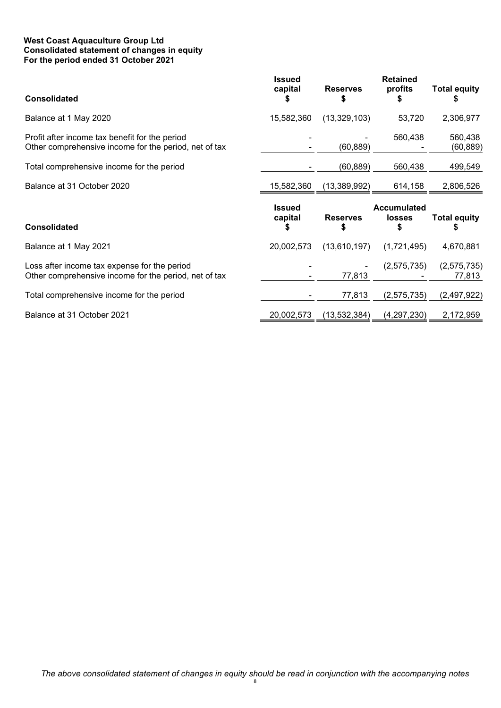#### **West Coast Aquaculture Group Ltd Consolidated statement of changes in equity For the period ended 31 October 2021**

| <b>Consolidated</b>                                                                                     | <b>Issued</b><br>capital | <b>Reserves</b>      | <b>Retained</b><br>profits               | <b>Total equity</b>      |
|---------------------------------------------------------------------------------------------------------|--------------------------|----------------------|------------------------------------------|--------------------------|
| Balance at 1 May 2020                                                                                   | 15,582,360               | (13,329,103)         | 53,720                                   | 2,306,977                |
| Profit after income tax benefit for the period<br>Other comprehensive income for the period, net of tax |                          | (60, 889)            | 560,438                                  | 560,438<br>(60, 889)     |
| Total comprehensive income for the period                                                               |                          | (60, 889)            | 560,438                                  | 499,549                  |
| Balance at 31 October 2020                                                                              | 15,582,360               | (13, 389, 992)       | 614,158                                  | 2,806,526                |
|                                                                                                         |                          |                      |                                          |                          |
| <b>Consolidated</b>                                                                                     | <b>Issued</b><br>capital | <b>Reserves</b><br>S | <b>Accumulated</b><br><b>losses</b><br>S | <b>Total equity</b><br>S |
| Balance at 1 May 2021                                                                                   | 20,002,573               | (13,610,197)         | (1,721,495)                              | 4,670,881                |
| Loss after income tax expense for the period<br>Other comprehensive income for the period, net of tax   |                          | 77,813               | (2, 575, 735)                            | (2, 575, 735)<br>77,813  |
| Total comprehensive income for the period                                                               |                          | 77,813               | (2, 575, 735)                            | (2,497,922)              |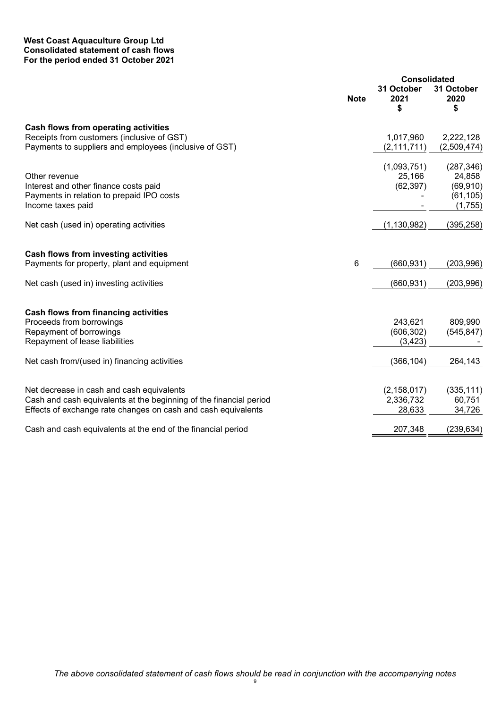#### **West Coast Aquaculture Group Ltd Consolidated statement of cash flows For the period ended 31 October 2021**

|                                                                    |             | <b>Consolidated</b>      |                          |
|--------------------------------------------------------------------|-------------|--------------------------|--------------------------|
|                                                                    | <b>Note</b> | 31 October<br>2021<br>\$ | 31 October<br>2020<br>\$ |
| Cash flows from operating activities                               |             |                          |                          |
| Receipts from customers (inclusive of GST)                         |             | 1,017,960                | 2,222,128                |
| Payments to suppliers and employees (inclusive of GST)             |             | (2, 111, 711)            | (2,509,474)              |
|                                                                    |             | (1,093,751)              | (287, 346)               |
| Other revenue                                                      |             | 25,166                   | 24,858                   |
| Interest and other finance costs paid                              |             | (62, 397)                | (69, 910)                |
| Payments in relation to prepaid IPO costs                          |             |                          | (61, 105)                |
| Income taxes paid                                                  |             |                          | (1,755)                  |
| Net cash (used in) operating activities                            |             | (1, 130, 982)            | (395, 258)               |
| Cash flows from investing activities                               |             |                          |                          |
| Payments for property, plant and equipment                         | 6           | (660, 931)               | (203, 996)               |
| Net cash (used in) investing activities                            |             | (660, 931)               | (203, 996)               |
| Cash flows from financing activities                               |             |                          |                          |
| Proceeds from borrowings                                           |             | 243,621                  | 809,990                  |
| Repayment of borrowings                                            |             | (606, 302)               | (545, 847)               |
| Repayment of lease liabilities                                     |             | (3, 423)                 |                          |
| Net cash from/(used in) financing activities                       |             | (366, 104)               | 264,143                  |
|                                                                    |             |                          |                          |
| Net decrease in cash and cash equivalents                          |             | (2, 158, 017)            | (335, 111)               |
| Cash and cash equivalents at the beginning of the financial period |             | 2,336,732                | 60,751                   |
| Effects of exchange rate changes on cash and cash equivalents      |             | 28,633                   | 34,726                   |
| Cash and cash equivalents at the end of the financial period       |             | 207,348                  | (239, 634)               |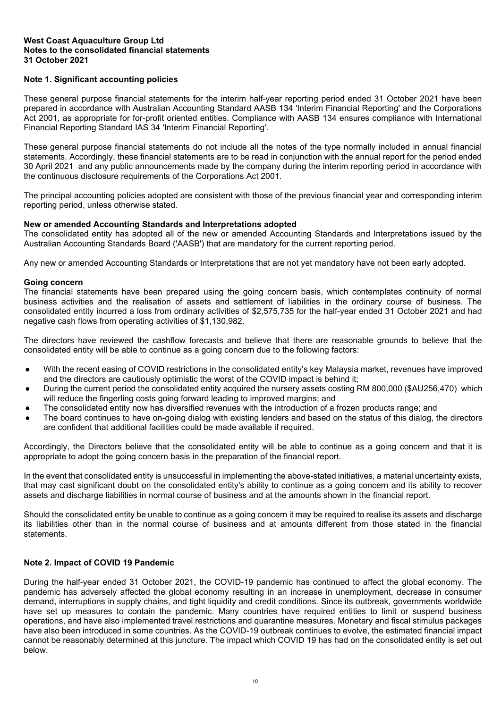## **Note 1. Significant accounting policies**

These general purpose financial statements for the interim half-year reporting period ended 31 October 2021 have been prepared in accordance with Australian Accounting Standard AASB 134 'Interim Financial Reporting' and the Corporations Act 2001, as appropriate for for-profit oriented entities. Compliance with AASB 134 ensures compliance with International Financial Reporting Standard IAS 34 'Interim Financial Reporting'.

These general purpose financial statements do not include all the notes of the type normally included in annual financial statements. Accordingly, these financial statements are to be read in conjunction with the annual report for the period ended 30 April 2021 and any public announcements made by the company during the interim reporting period in accordance with the continuous disclosure requirements of the Corporations Act 2001.

The principal accounting policies adopted are consistent with those of the previous financial year and corresponding interim reporting period, unless otherwise stated.

#### **New or amended Accounting Standards and Interpretations adopted**

The consolidated entity has adopted all of the new or amended Accounting Standards and Interpretations issued by the Australian Accounting Standards Board ('AASB') that are mandatory for the current reporting period.

Any new or amended Accounting Standards or Interpretations that are not yet mandatory have not been early adopted.

#### **Going concern**

The financial statements have been prepared using the going concern basis, which contemplates continuity of normal business activities and the realisation of assets and settlement of liabilities in the ordinary course of business. The consolidated entity incurred a loss from ordinary activities of \$2,575,735 for the half-year ended 31 October 2021 and had negative cash flows from operating activities of \$1,130,982.

The directors have reviewed the cashflow forecasts and believe that there are reasonable grounds to believe that the consolidated entity will be able to continue as a going concern due to the following factors:

- With the recent easing of COVID restrictions in the consolidated entity's key Malaysia market, revenues have improved and the directors are cautiously optimistic the worst of the COVID impact is behind it;
- During the current period the consolidated entity acquired the nursery assets costing RM 800,000 (\$AU256,470) which will reduce the fingerling costs going forward leading to improved margins; and
- The consolidated entity now has diversified revenues with the introduction of a frozen products range; and
- The board continues to have on-going dialog with existing lenders and based on the status of this dialog, the directors are confident that additional facilities could be made available if required.

Accordingly, the Directors believe that the consolidated entity will be able to continue as a going concern and that it is appropriate to adopt the going concern basis in the preparation of the financial report.

In the event that consolidated entity is unsuccessful in implementing the above-stated initiatives, a material uncertainty exists, that may cast significant doubt on the consolidated entity's ability to continue as a going concern and its ability to recover assets and discharge liabilities in normal course of business and at the amounts shown in the financial report.

Should the consolidated entity be unable to continue as a going concern it may be required to realise its assets and discharge its liabilities other than in the normal course of business and at amounts different from those stated in the financial statements.

# **Note 2. Impact of COVID 19 Pandemic**

During the half-year ended 31 October 2021, the COVID-19 pandemic has continued to affect the global economy. The pandemic has adversely affected the global economy resulting in an increase in unemployment, decrease in consumer demand, interruptions in supply chains, and tight liquidity and credit conditions. Since its outbreak, governments worldwide have set up measures to contain the pandemic. Many countries have required entities to limit or suspend business operations, and have also implemented travel restrictions and quarantine measures. Monetary and fiscal stimulus packages have also been introduced in some countries. As the COVID-19 outbreak continues to evolve, the estimated financial impact cannot be reasonably determined at this juncture. The impact which COVID 19 has had on the consolidated entity is set out below.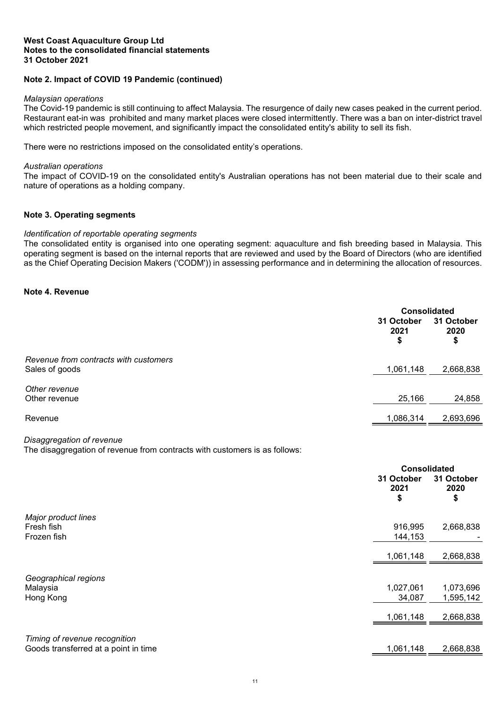# **Note 2. Impact of COVID 19 Pandemic (continued)**

#### *Malaysian operations*

The Covid-19 pandemic is still continuing to affect Malaysia. The resurgence of daily new cases peaked in the current period. Restaurant eat-in was prohibited and many market places were closed intermittently. There was a ban on inter-district travel which restricted people movement, and significantly impact the consolidated entity's ability to sell its fish.

There were no restrictions imposed on the consolidated entity's operations.

#### *Australian operations*

The impact of COVID-19 on the consolidated entity's Australian operations has not been material due to their scale and nature of operations as a holding company.

#### **Note 3. Operating segments**

#### *Identification of reportable operating segments*

The consolidated entity is organised into one operating segment: aquaculture and fish breeding based in Malaysia. This operating segment is based on the internal reports that are reviewed and used by the Board of Directors (who are identified as the Chief Operating Decision Makers ('CODM')) in assessing performance and in determining the allocation of resources.

#### **Note 4. Revenue**

<span id="page-13-0"></span>

|                                                         |                          | <b>Consolidated</b>      |  |
|---------------------------------------------------------|--------------------------|--------------------------|--|
|                                                         | 31 October<br>2021<br>\$ | 31 October<br>2020<br>\$ |  |
| Revenue from contracts with customers<br>Sales of goods | 1,061,148                | 2,668,838                |  |
| Other revenue<br>Other revenue                          | 25,166                   | 24,858                   |  |
| Revenue                                                 | 1,086,314                | 2,693,696                |  |

*Disaggregation of revenue*

The disaggregation of revenue from contracts with customers is as follows:

|                                                                       |                          | <b>Consolidated</b>      |  |
|-----------------------------------------------------------------------|--------------------------|--------------------------|--|
|                                                                       | 31 October<br>2021<br>\$ | 31 October<br>2020<br>\$ |  |
| Major product lines                                                   |                          |                          |  |
| Fresh fish                                                            | 916,995                  | 2,668,838                |  |
| Frozen fish                                                           | 144,153                  |                          |  |
|                                                                       | 1,061,148                | 2,668,838                |  |
| Geographical regions                                                  |                          |                          |  |
| Malaysia                                                              | 1,027,061                | 1,073,696                |  |
| Hong Kong                                                             | 34,087                   | 1,595,142                |  |
|                                                                       | 1,061,148                | 2,668,838                |  |
|                                                                       |                          |                          |  |
| Timing of revenue recognition<br>Goods transferred at a point in time | 1,061,148                | 2,668,838                |  |
|                                                                       |                          |                          |  |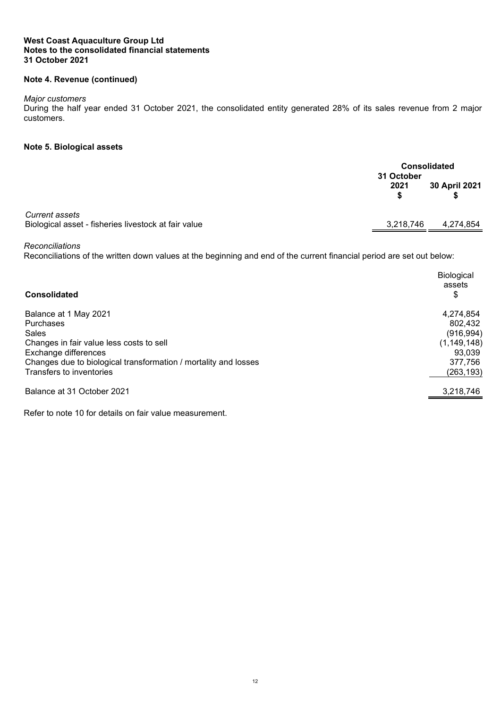# **Note 4. Revenue (continued)**

#### *Major customers*

During the half year ended 31 October 2021, the consolidated entity generated 28% of its sales revenue from 2 major customers.

## **Note 5. Biological assets**

<span id="page-14-0"></span>

|                                                                               | 31 October<br>2021 | <b>Consolidated</b><br>30 April 2021 |  |  |
|-------------------------------------------------------------------------------|--------------------|--------------------------------------|--|--|
| <b>Current assets</b><br>Biological asset - fisheries livestock at fair value | 3,218,746          | 4,274,854                            |  |  |

#### *Reconciliations*

Reconciliations of the written down values at the beginning and end of the current financial period are set out below:

| <b>Consolidated</b>                                             | Biological<br>assets<br>\$ |
|-----------------------------------------------------------------|----------------------------|
| Balance at 1 May 2021                                           | 4,274,854                  |
| Purchases                                                       | 802,432                    |
| <b>Sales</b>                                                    | (916, 994)                 |
| Changes in fair value less costs to sell                        | (1, 149, 148)              |
| Exchange differences                                            | 93,039                     |
| Changes due to biological transformation / mortality and losses | 377,756                    |
| Transfers to inventories                                        | (263, 193)                 |
| Balance at 31 October 2021                                      | 3,218,746                  |
|                                                                 |                            |

Refer to note 10 for details on fair value measurement.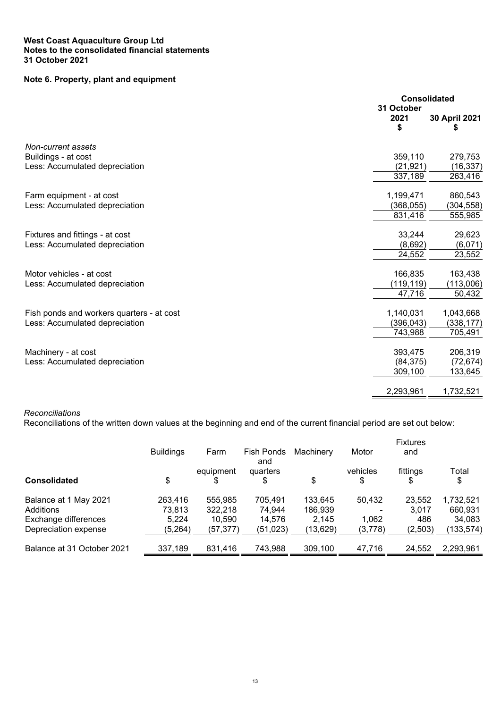# **Note 6. Property, plant and equipment**

<span id="page-15-0"></span>

|                                           | <b>Consolidated</b><br>31 October |                    |
|-------------------------------------------|-----------------------------------|--------------------|
|                                           | 2021<br>\$                        | 30 April 2021<br>5 |
| Non-current assets                        |                                   |                    |
| Buildings - at cost                       | 359,110                           | 279,753            |
| Less: Accumulated depreciation            | (21, 921)                         | (16, 337)          |
|                                           | 337,189                           | 263,416            |
| Farm equipment - at cost                  | 1,199,471                         | 860,543            |
| Less: Accumulated depreciation            | (368, 055)                        | (304, 558)         |
|                                           | 831,416                           | 555,985            |
| Fixtures and fittings - at cost           | 33,244                            | 29,623             |
| Less: Accumulated depreciation            | (8,692)                           | (6,071)            |
|                                           | 24,552                            | 23,552             |
| Motor vehicles - at cost                  | 166,835                           | 163,438            |
| Less: Accumulated depreciation            | (119, 119)                        | (113,006)          |
|                                           | 47,716                            | 50,432             |
| Fish ponds and workers quarters - at cost | 1,140,031                         | 1,043,668          |
| Less: Accumulated depreciation            | (396, 043)                        | (338,177)          |
|                                           | 743,988                           | 705,491            |
| Machinery - at cost                       | 393,475                           | 206,319            |
| Less: Accumulated depreciation            | (84, 375)                         | (72, 674)          |
|                                           | 309,100                           | 133,645            |
|                                           |                                   |                    |
|                                           | 2,293,961                         | 1,732,521          |

#### *Reconciliations*

Reconciliations of the written down values at the beginning and end of the current financial period are set out below:

|                            | <b>Buildings</b> | Farm           | <b>Fish Ponds</b><br>and | Machinery | Motor          | <b>Fixtures</b><br>and |             |
|----------------------------|------------------|----------------|--------------------------|-----------|----------------|------------------------|-------------|
| <b>Consolidated</b>        | \$               | equipment<br>S | quarters<br>\$           | \$        | vehicles<br>\$ | fittings<br>\$         | Total<br>\$ |
| Balance at 1 May 2021      | 263.416          | 555,985        | 705.491                  | 133.645   | 50,432         | 23.552                 | 1,732,521   |
| Additions                  | 73.813           | 322,218        | 74.944                   | 186,939   |                | 3.017                  | 660,931     |
| Exchange differences       | 5.224            | 10.590         | 14.576                   | 2.145     | 1,062          | 486                    | 34,083      |
| Depreciation expense       | (5,264)          | (57, 377)      | (51, 023)                | (13,629)  | (3,778)        | (2,503)                | (133, 574)  |
| Balance at 31 October 2021 | 337,189          | 831,416        | 743,988                  | 309,100   | 47,716         | 24,552                 | 2,293,961   |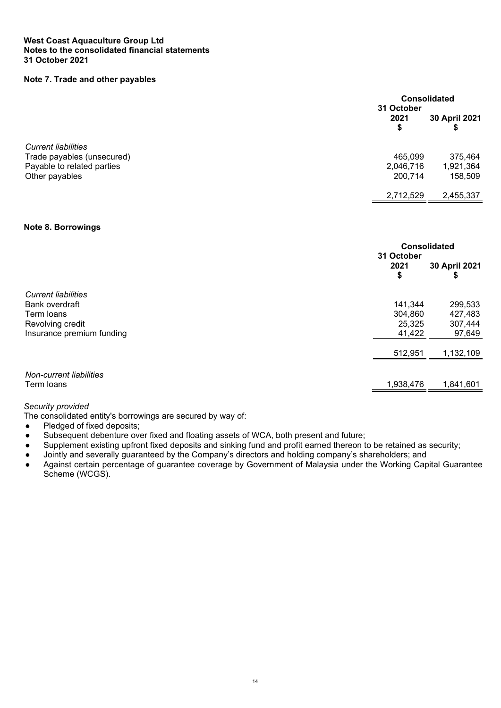# **Note 7. Trade and other payables**

<span id="page-16-0"></span>

|                            | <b>Consolidated</b><br>31 October |                     |
|----------------------------|-----------------------------------|---------------------|
|                            | 2021<br>\$                        | 30 April 2021<br>\$ |
| <b>Current liabilities</b> |                                   |                     |
| Trade payables (unsecured) | 465,099                           | 375,464             |
| Payable to related parties | 2,046,716                         | 1,921,364           |
| Other payables             | 200,714                           | 158,509             |
|                            | 2,712,529                         | 2,455,337           |

## **Note 8. Borrowings**

<span id="page-16-1"></span>

|                            |                          | <b>Consolidated</b> |  |  |
|----------------------------|--------------------------|---------------------|--|--|
|                            | 31 October<br>2021<br>\$ | 30 April 2021<br>\$ |  |  |
| <b>Current liabilities</b> |                          |                     |  |  |
| Bank overdraft             | 141,344                  | 299,533             |  |  |
| Term loans                 | 304,860                  | 427,483             |  |  |
| Revolving credit           | 25,325                   | 307,444             |  |  |
| Insurance premium funding  | 41,422                   | 97,649              |  |  |
|                            | 512,951                  | 1,132,109           |  |  |
| Non-current liabilities    |                          |                     |  |  |
| Term loans                 | 1,938,476                | 1,841,601           |  |  |
|                            |                          |                     |  |  |

## *Security provided*

The consolidated entity's borrowings are secured by way of:

- Pledged of fixed deposits;<br>• Subsequent debenture over
- Subsequent debenture over fixed and floating assets of WCA, both present and future;
- Supplement existing upfront fixed deposits and sinking fund and profit earned thereon to be retained as security;
- Jointly and severally guaranteed by the Company's directors and holding company's shareholders; and<br>● Against certain percentage of guarantee coverage by Government of Malaysia under the Working Can
- Against certain percentage of guarantee coverage by Government of Malaysia under the Working Capital Guarantee Scheme (WCGS).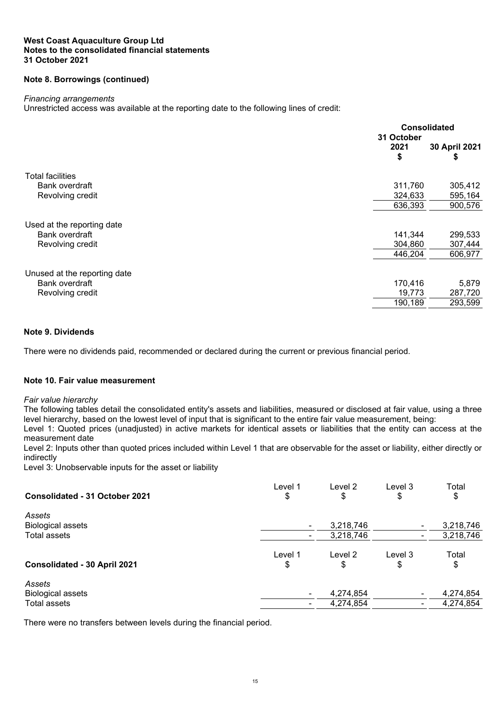## **Note 8. Borrowings (continued)**

#### *Financing arrangements*

Unrestricted access was available at the reporting date to the following lines of credit:

|                              | <b>Consolidated</b> |                     |
|------------------------------|---------------------|---------------------|
|                              | 31 October          |                     |
|                              | 2021<br>\$          | 30 April 2021<br>\$ |
| <b>Total facilities</b>      |                     |                     |
| Bank overdraft               | 311,760             | 305,412             |
|                              |                     |                     |
| Revolving credit             | 324,633             | 595,164             |
|                              | 636,393             | 900,576             |
| Used at the reporting date   |                     |                     |
| Bank overdraft               | 141,344             | 299,533             |
| Revolving credit             | 304,860             | 307,444             |
|                              | 446,204             | 606,977             |
| Unused at the reporting date |                     |                     |
| <b>Bank overdraft</b>        | 170,416             | 5,879               |
| Revolving credit             | 19,773              | 287,720             |
|                              | 190,189             | 293,599             |

#### **Note 9. Dividends**

There were no dividends paid, recommended or declared during the current or previous financial period.

#### **Note 10. Fair value measurement**

#### *Fair value hierarchy*

The following tables detail the consolidated entity's assets and liabilities, measured or disclosed at fair value, using a three level hierarchy, based on the lowest level of input that is significant to the entire fair value measurement, being:

Level 1: Quoted prices (unadjusted) in active markets for identical assets or liabilities that the entity can access at the measurement date

Level 2: Inputs other than quoted prices included within Level 1 that are observable for the asset or liability, either directly or indirectly

Level 3: Unobservable inputs for the asset or liability

| Consolidated - 31 October 2021     | Level 1<br>\$            | Level 2<br>\$ | Level 3<br>\$ | Total<br>\$ |
|------------------------------------|--------------------------|---------------|---------------|-------------|
| Assets<br><b>Biological assets</b> | $\blacksquare$           | 3,218,746     |               | 3,218,746   |
| Total assets                       | $\overline{\phantom{a}}$ | 3,218,746     |               | 3,218,746   |
| Consolidated - 30 April 2021       | Level 1<br>\$            | Level 2<br>\$ | Level 3<br>\$ | Total<br>\$ |
| Assets<br><b>Biological assets</b> | $\blacksquare$           | 4,274,854     |               | 4,274,854   |
| Total assets                       | $\blacksquare$           | 4,274,854     |               | 4,274,854   |

There were no transfers between levels during the financial period.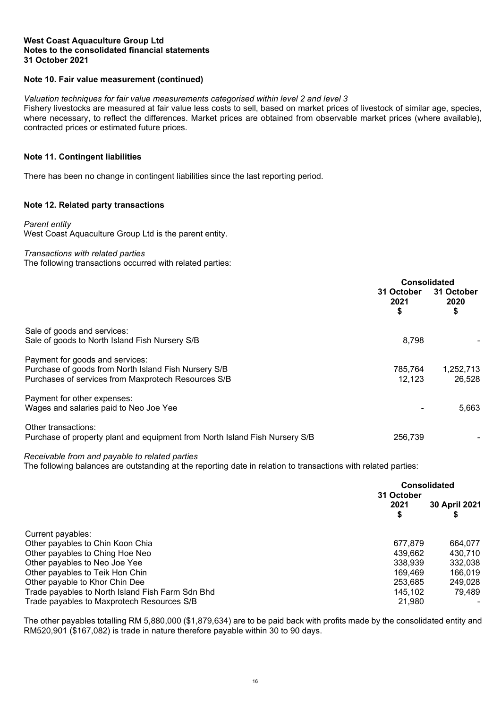# **Note 10. Fair value measurement (continued)**

#### *Valuation techniques for fair value measurements categorised within level 2 and level 3*

Fishery livestocks are measured at fair value less costs to sell, based on market prices of livestock of similar age, species, where necessary, to reflect the differences. Market prices are obtained from observable market prices (where available), contracted prices or estimated future prices.

#### **Note 11. Contingent liabilities**

There has been no change in contingent liabilities since the last reporting period.

#### **Note 12. Related party transactions**

*Parent entity* West Coast Aquaculture Group Ltd is the parent entity.

#### *Transactions with related parties*

The following transactions occurred with related parties:

|                                                                             | <b>Consolidated</b>      |                          |
|-----------------------------------------------------------------------------|--------------------------|--------------------------|
|                                                                             | 31 October<br>2021<br>\$ | 31 October<br>2020<br>\$ |
| Sale of goods and services:                                                 |                          |                          |
| Sale of goods to North Island Fish Nursery S/B                              | 8.798                    |                          |
| Payment for goods and services:                                             |                          |                          |
| Purchase of goods from North Island Fish Nursery S/B                        | 785,764                  | 1,252,713                |
| Purchases of services from Maxprotech Resources S/B                         | 12.123                   | 26.528                   |
| Payment for other expenses:                                                 |                          |                          |
| Wages and salaries paid to Neo Joe Yee                                      |                          | 5,663                    |
| Other transactions:                                                         |                          |                          |
| Purchase of property plant and equipment from North Island Fish Nursery S/B | 256,739                  |                          |

# *Receivable from and payable to related parties*

The following balances are outstanding at the reporting date in relation to transactions with related parties:

|                                                  | <b>Consolidated</b> |               |
|--------------------------------------------------|---------------------|---------------|
|                                                  | 31 October          |               |
|                                                  | 2021<br>\$          | 30 April 2021 |
| Current payables:                                |                     |               |
| Other payables to Chin Koon Chia                 | 677.879             | 664,077       |
| Other payables to Ching Hoe Neo                  | 439.662             | 430,710       |
| Other payables to Neo Joe Yee                    | 338,939             | 332,038       |
| Other payables to Teik Hon Chin                  | 169.469             | 166,019       |
| Other payable to Khor Chin Dee                   | 253.685             | 249,028       |
| Trade payables to North Island Fish Farm Sdn Bhd | 145.102             | 79.489        |
| Trade payables to Maxprotech Resources S/B       | 21.980              |               |

The other payables totalling RM 5,880,000 (\$1,879,634) are to be paid back with profits made by the consolidated entity and RM520,901 (\$167,082) is trade in nature therefore payable within 30 to 90 days.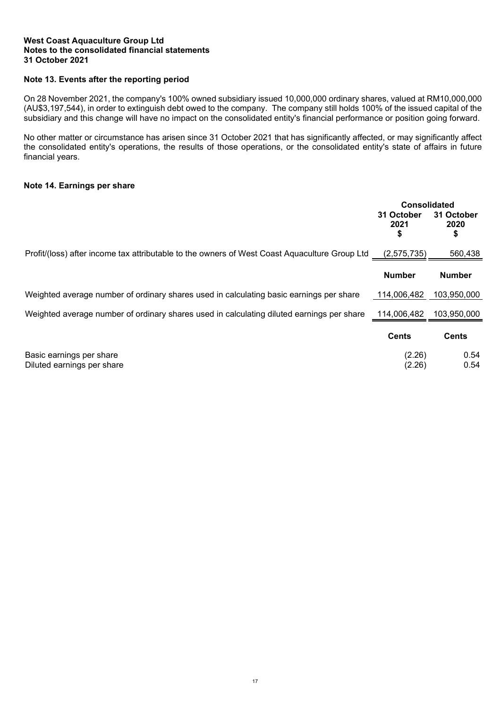## **Note 13. Events after the reporting period**

On 28 November 2021, the company's 100% owned subsidiary issued 10,000,000 ordinary shares, valued at RM10,000,000 (AU\$3,197,544), in order to extinguish debt owed to the company. The company still holds 100% of the issued capital of the subsidiary and this change will have no impact on the consolidated entity's financial performance or position going forward.

No other matter or circumstance has arisen since 31 October 2021 that has significantly affected, or may significantly affect the consolidated entity's operations, the results of those operations, or the consolidated entity's state of affairs in future financial years.

## **Note 14. Earnings per share**

<span id="page-19-0"></span>

|                                                                                               | <b>Consolidated</b>      |                          |
|-----------------------------------------------------------------------------------------------|--------------------------|--------------------------|
|                                                                                               | 31 October<br>2021<br>\$ | 31 October<br>2020<br>\$ |
| Profit/(loss) after income tax attributable to the owners of West Coast Aquaculture Group Ltd | (2,575,735)              | 560,438                  |
|                                                                                               | <b>Number</b>            | <b>Number</b>            |
| Weighted average number of ordinary shares used in calculating basic earnings per share       | 114,006,482              | 103,950,000              |
| Weighted average number of ordinary shares used in calculating diluted earnings per share     | 114,006,482              | 103,950,000              |
|                                                                                               | <b>Cents</b>             | <b>Cents</b>             |
| Basic earnings per share<br>Diluted earnings per share                                        | (2.26)<br>(2.26)         | 0.54<br>0.54             |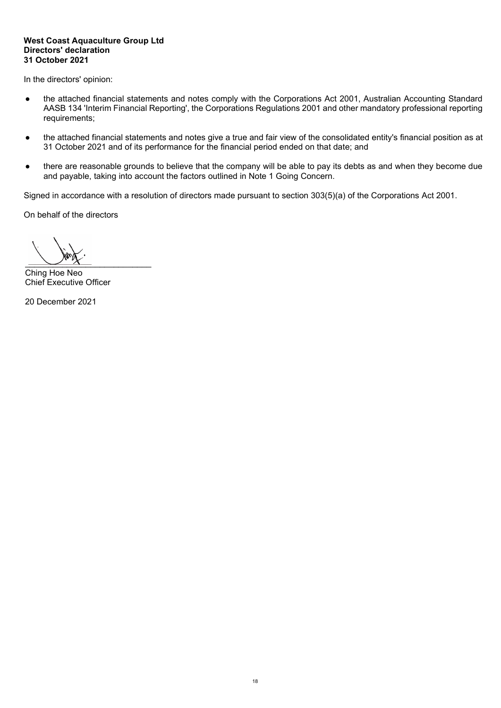#### **West Coast Aquaculture Group Ltd Directors' declaration 31 October 2021**

In the directors' opinion:

- the attached financial statements and notes comply with the Corporations Act 2001, Australian Accounting Standard AASB 134 'Interim Financial Reporting', the Corporations Regulations 2001 and other mandatory professional reporting requirements;
- the attached financial statements and notes give a true and fair view of the consolidated entity's financial position as at 31 October 2021 and of its performance for the financial period ended on that date; and
- there are reasonable grounds to believe that the company will be able to pay its debts as and when they become due and payable, taking into account the factors outlined in Note 1 Going Concern.

Signed in accordance with a resolution of directors made pursuant to section 303(5)(a) of the Corporations Act 2001.

On behalf of the directors

 $\frac{1}{\sqrt{2}}$ 

Ching Hoe Neo Chief Executive Officer

20 December 2021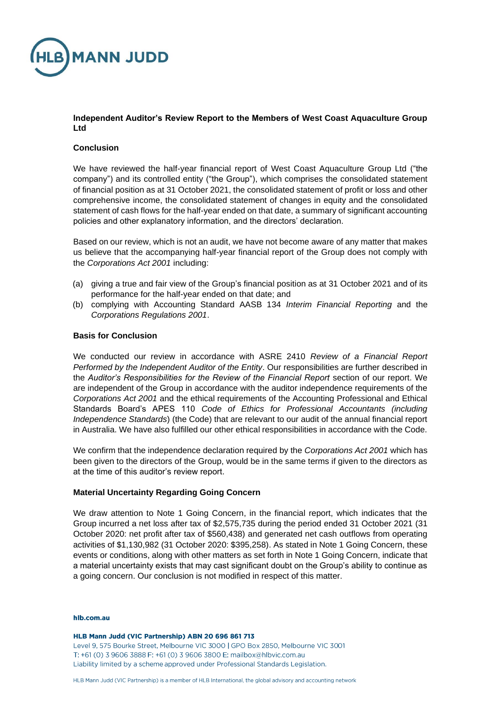

#### **Independent Auditor's Review Report to the Members of West Coast Aquaculture Group Ltd**

## **Conclusion**

We have reviewed the half-year financial report of West Coast Aquaculture Group Ltd ("the company") and its controlled entity ("the Group"), which comprises the consolidated statement of financial position as at 31 October 2021, the consolidated statement of profit or loss and other comprehensive income, the consolidated statement of changes in equity and the consolidated statement of cash flows for the half-year ended on that date, a summary of significant accounting policies and other explanatory information, and the directors' declaration.

Based on our review, which is not an audit, we have not become aware of any matter that makes us believe that the accompanying half-year financial report of the Group does not comply with the *Corporations Act 2001* including:

- (a) giving a true and fair view of the Group's financial position as at 31 October 2021 and of its performance for the half-year ended on that date; and
- (b) complying with Accounting Standard AASB 134 *Interim Financial Reporting* and the *Corporations Regulations 2001*.

#### **Basis for Conclusion**

We conducted our review in accordance with ASRE 2410 *Review of a Financial Report Performed by the Independent Auditor of the Entity*. Our responsibilities are further described in the *Auditor's Responsibilities for the Review of the Financial Report* section of our report. We are independent of the Group in accordance with the auditor independence requirements of the *Corporations Act 2001* and the ethical requirements of the Accounting Professional and Ethical Standards Board's APES 110 *Code of Ethics for Professional Accountants (including Independence Standards*) (the Code) that are relevant to our audit of the annual financial report in Australia. We have also fulfilled our other ethical responsibilities in accordance with the Code.

We confirm that the independence declaration required by the *Corporations Act 2001* which has been given to the directors of the Group, would be in the same terms if given to the directors as at the time of this auditor's review report.

#### **Material Uncertainty Regarding Going Concern**

We draw attention to Note 1 Going Concern, in the financial report, which indicates that the Group incurred a net loss after tax of \$2,575,735 during the period ended 31 October 2021 (31 October 2020: net profit after tax of \$560,438) and generated net cash outflows from operating activities of \$1,130,982 (31 October 2020: \$395,258). As stated in Note 1 Going Concern, these events or conditions, along with other matters as set forth in Note 1 Going Concern, indicate that a material uncertainty exists that may cast significant doubt on the Group's ability to continue as a going concern. Our conclusion is not modified in respect of this matter.

#### hlb.com.au

#### HLB Mann Judd (VIC Partnership) ABN 20 696 861 713

Level 9, 575 Bourke Street, Melbourne VIC 3000 | GPO Box 2850, Melbourne VIC 3001 T: +61 (0) 3 9606 3888 F: +61 (0) 3 9606 3800 E: mailbox@hlbvic.com.au Liability limited by a scheme approved under Professional Standards Legislation.